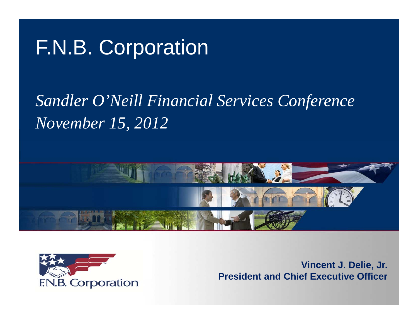# F.N.B. Corporation

# *Sandler O Neill ' Financial Services Conference November 15, 2012*





**Vincent J Delie Jr J. Delie, Jr. President and Chief Executive Officer**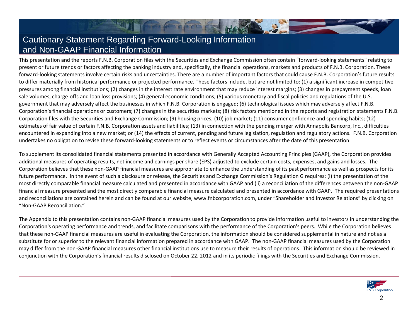### Cautionary Statement Regarding Forward-Looking Information and Non-GAAP Financial Information

This presentation and the reports F.N.B. Corporation files with the Securities and Exchange Commission often contain "forward-looking statements" relating to present or future trends or factors affecting the banking industry and, specifically, the financial operations, markets and products of F.N.B. Corporation. These forward-looking statements involve certain risks and uncertainties. There are a number of important factors that could cause F.N.B. Corporation's future results to differ materially from historical performance or projected performance. These factors include, but are not limited to: (1) <sup>a</sup> significant increase in competitive pressures among financial institutions; (2) changes in the interest rate environment that may reduce interest margins; (3) changes in prepayment speeds, loan sale volumes, charge‐offs and loan loss provisions; (4) general economic conditions; (5) various monetary and fiscal policies and regulations of the U.S. government that may adversely affect the businesses in which F.N.B. Corporation is engaged; (6) technological issues which may adversely affect F.N.B. Corporation's financial operations or customers; (7) changes in the securities markets; (8) risk factors mentioned in the reports and registration statements F.N.B. Corporation files with the Securities and Exchange Commission; (9) housing prices; (10) job market; (11) consumer confidence and spending habits; (12) estimates of fair value of certain F.N.B. Corporation assets and liabilities; (13) in connection with the pending merger with Annapolis Bancorp, Inc., difficulties encountered in expanding into <sup>a</sup> new market; or (14) the effects of current, pending and future legislation, regulation and regulatory actions. F.N.B. Corporation undertakes no obligation to revise these forward-looking statements or to reflect events or circumstances after the date of this presentation.

To supplement its consolidated financial statements presented in accordance with Generally Accepted Accounting Principles (GAAP), the Corporation provides additional measures of operating results, net income and earnings per share (EPS) adjusted to exclude certain costs, expenses, and gains and losses. The Corporation believes that these non‐GAAP financial measures are appropriate to enhance the understanding of its past performance as well as prospects for its future performance. In the event of such <sup>a</sup> disclosure or release, the Securities and Exchange Commission's Regulation G requires: (i) the presentation of the most directly comparable financial measure calculated and presented in accordance with GAAP and (ii) a reconciliation of the differences between the non-GAAP financial measure presented and the most directly comparable financial measure calculated and presented in accordance with GAAP. The required presentations and reconciliations are contained herein and can be found at our website, www.fnbcorporation.com, under "Shareholder and Investor Relations" by clicking on "Non‐GAAP Reconciliation."

The Appendix to this presentation contains non‐GAAP financial measures used by the Corporation to provide information useful to investors in understanding the Corporation's operating performance and trends, and facilitate comparisons with the performance of the Corporation's peers. While the Corporation believes that these non‐GAAP financial measures are useful in evaluating the Corporation, the information should be considered supplemental in nature and not as <sup>a</sup> substitute for or superior to the relevant financial information prepared in accordance with GAAP. The non‐GAAP financial measures used by the Corporation may differ from the non‐GAAP financial measures other financial institutions use to measure their results of operations. This information should be reviewed in conjunction with the Corporation's financial results disclosed on October 22, 2012 and in its periodic filings with the Securities and Exchange Commission.

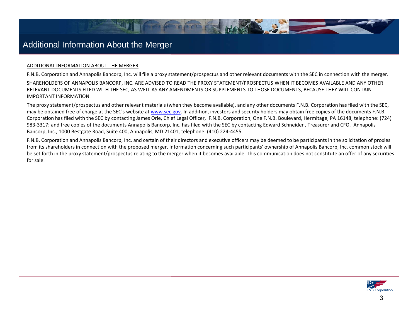### Additional Information About the Merger

### ADDITIONAL INFORMATION ABOUT THE MERGER

F.N.B. Corporation and Annapolis Bancorp, Inc. will file <sup>a</sup> proxy statement/prospectus and other relevant documents with the SEC in connection with the merger. SHAREHOLDERS OF ANNAPOLIS BANCORP, INC. ARE ADVISED TO READ THE PROXY STATEMENT/PROSPECTUS WHEN IT BECOMES AVAILABLE AND ANY OTHER RELEVANT DOCUMENTS FILED WITH THE SEC, AS WELL AS ANY AMENDMENTS OR SUPPLEMENTS TO THOSE DOCUMENTS, BECAUSE THEY WILL CONTAIN

IMPORTANT INFORMATION.

The proxy statement/prospectus and other relevant materials (when they become available), and any other documents F.N.B. Corporation has filed with the SEC, may be obtained free of charge at the SEC's website at www.sec.gov. In addition, investors and security holders may obtain free copies of the documents F.N.B. Corporation has filed with the SEC by contacting James Orie, Chief Legal Officer, F.N.B. Corporation, One F.N.B. Boulevard, Hermitage, PA 16148, telephone: (724) 983‐3317; and free copies of the documents Annapolis Bancorp, Inc. has filed with the SEC by contacting Edward Schneider , Treasurer and CFO, Annapolis Bancorp, Inc., 1000 Bestgate Road, Suite 400, Annapolis, MD 21401, telephone: (410) 224‐4455.

F.N.B. Corporation and Annapolis Bancorp, Inc. and certain of their directors and executive officers may be deemed to be participants in the solicitation of proxies from its shareholders in connection with the proposed merger. Information concerning such participants' ownership of Annapolis Bancorp, Inc. common stock will be set forth in the proxy statement/prospectus relating to the merger when it becomes available. This communication does not constitute an offer of any securities for sale.

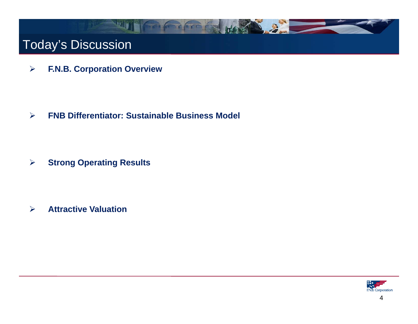

 $\blacktriangleright$ **F.N.B. Corporation Overview**

 $\blacktriangleright$ **FNB Differentiator: Sustainable Business Model**

 $\blacktriangleright$ **Strong Operating Results** 

 $\blacktriangleright$ **Attractive Valuation**

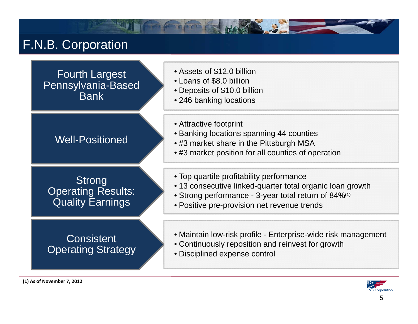## F.N.B. Corporation

Fourth Largest Pennsylvania-Based Bank

- Assets of \$12.0 billion
- Loans of \$8.0 billion
- Deposits of \$10.0 billion
- **Example 246 banking locations**
- •Well-Positioned

Strong Operating Results: Quality Earnings

### **Consistent** Operating Strategy

- Attractive footprint
- Banking locations spanning 44 counties<br>Mell-Positioned extra the pittsburgh MSA
	- $\bullet$  #3 market share in the Pittsburgh MSA
	- #3 market position for all counties of operation
	- Strong<br>• 13 consecutive linked-quarter total of the strong of the strong of the strong of the strong of the strong of
		- 13 consecutive linked-quarter total organic loan growth
		- Strong performance 3-year total return of 84**%(1)**
		- Positive pre-provision net revenue trends
		- Maintain low-risk profile Enterprise-wide risk management
		- Continuously reposition and reinvest for growth
		- Disciplined expense control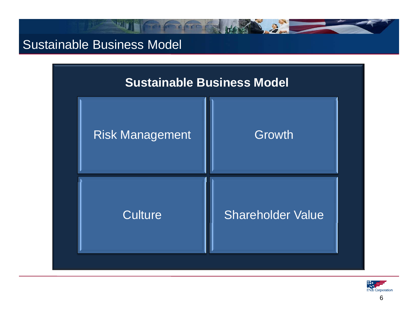## Sustainable Business Model



 $\ddot{a}$ 

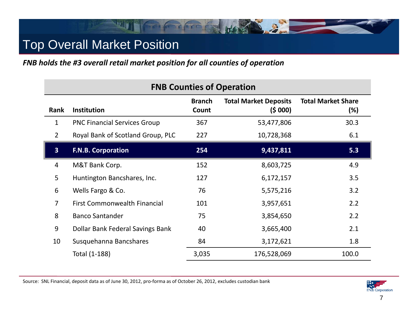## Top Overall Market Position

FNB holds the #3 overall retail market position for all counties of operation

| <b>FNB Counties of Operation</b> |                                     |                        |                                        |                                  |  |  |  |  |
|----------------------------------|-------------------------------------|------------------------|----------------------------------------|----------------------------------|--|--|--|--|
| Rank                             | <b>Institution</b>                  | <b>Branch</b><br>Count | <b>Total Market Deposits</b><br>(5000) | <b>Total Market Share</b><br>(%) |  |  |  |  |
| 1                                | <b>PNC Financial Services Group</b> | 367                    | 53,477,806                             | 30.3                             |  |  |  |  |
| $\overline{2}$                   | Royal Bank of Scotland Group, PLC   | 227                    | 10,728,368                             | 6.1                              |  |  |  |  |
| $\overline{\mathbf{3}}$          | <b>F.N.B. Corporation</b>           | 254                    | 9,437,811                              | 5.3                              |  |  |  |  |
| 4                                | M&T Bank Corp.                      | 152                    | 8,603,725                              | 4.9                              |  |  |  |  |
| 5                                | Huntington Bancshares, Inc.         | 127                    | 6,172,157                              | 3.5                              |  |  |  |  |
| 6                                | Wells Fargo & Co.                   | 76                     | 5,575,216                              | 3.2                              |  |  |  |  |
| $\overline{7}$                   | <b>First Commonwealth Financial</b> | 101                    | 3,957,651                              | 2.2                              |  |  |  |  |
| 8                                | <b>Banco Santander</b>              | 75                     | 3,854,650                              | 2.2                              |  |  |  |  |
| 9                                | Dollar Bank Federal Savings Bank    | 40                     | 3,665,400                              | 2.1                              |  |  |  |  |
| 10                               | Susquehanna Bancshares              | 84                     | 3,172,621                              | 1.8                              |  |  |  |  |
|                                  | Total (1-188)                       | 3,035                  | 176,528,069                            | 100.0                            |  |  |  |  |

Source: SNL Financial, deposit data as of June 30, 2012, pro‐forma as of October 26, 2012, excludes custodian bank

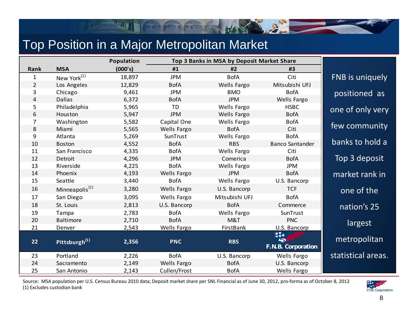## Top Position in a Major Metropolitan Market

|                |                            | Population | Top 3 Banks in MSA by Deposit Market Share |                    |                                        |                    |
|----------------|----------------------------|------------|--------------------------------------------|--------------------|----------------------------------------|--------------------|
| Rank           | <b>MSA</b>                 | (000's)    | #1                                         | #2                 | #3                                     |                    |
| $\mathbf{1}$   | New York <sup>(1)</sup>    | 18,897     | <b>JPM</b>                                 | <b>BofA</b>        | Citi                                   | FNB is uniquely    |
| $\overline{2}$ | Los Angeles                | 12,829     | <b>BofA</b>                                | <b>Wells Fargo</b> | Mitsubishi UFJ                         |                    |
| 3              | Chicago                    | 9,461      | <b>JPM</b>                                 | <b>BMO</b>         | <b>BofA</b>                            | positioned as      |
| $\overline{4}$ | <b>Dallas</b>              | 6,372      | <b>BofA</b>                                | <b>JPM</b>         | Wells Fargo                            |                    |
| 5              | Philadelphia               | 5,965      | <b>TD</b>                                  | Wells Fargo        | <b>HSBC</b>                            | one of only very   |
| 6              | Houston                    | 5,947      | <b>JPM</b>                                 | Wells Fargo        | <b>BofA</b>                            |                    |
| 7              | Washington                 | 5,582      | Capital One                                | Wells Fargo        | <b>BofA</b>                            |                    |
| 8              | Miami                      | 5,565      | Wells Fargo                                | <b>BofA</b>        | Citi                                   | few community      |
| 9              | Atlanta                    | 5,269      | SunTrust                                   | Wells Fargo        | <b>BofA</b>                            |                    |
| 10             | Boston                     | 4,552      | <b>BofA</b>                                | <b>RBS</b>         | <b>Banco Santander</b>                 | banks to hold a    |
| 11             | San Francisco              | 4,335      | <b>BofA</b>                                | Wells Fargo        | Citi                                   |                    |
| 12             | Detroit                    | 4,296      | <b>JPM</b>                                 | Comerica           | <b>BofA</b>                            | Top 3 deposit      |
| 13             | Riverside                  | 4,225      | <b>BofA</b>                                | Wells Fargo        | JPM                                    |                    |
| 14             | Phoenix                    | 4,193      | Wells Fargo                                | <b>JPM</b>         | <b>BofA</b>                            | market rank in     |
| 15             | Seattle                    | 3,440      | <b>BofA</b>                                | Wells Fargo        | U.S. Bancorp                           |                    |
| 16             | Minneapolis <sup>(1)</sup> | 3,280      | Wells Fargo                                | U.S. Bancorp       | <b>TCF</b>                             | one of the         |
| 17             | San Diego                  | 3,095      | Wells Fargo                                | Mitsubishi UFJ     | <b>BofA</b>                            |                    |
| 18             | St. Louis                  | 2,813      | U.S. Bancorp                               | <b>BofA</b>        | Commerce                               | nation's 25        |
| 19             | Tampa                      | 2,783      | <b>BofA</b>                                | Wells Fargo        | SunTrust                               |                    |
| 20             | Baltimore                  | 2,710      | <b>BofA</b>                                | M&T                | <b>PNC</b>                             | largest            |
| 21             | Denver                     | 2,543      | <b>Wells Fargo</b>                         | <b>FirstBank</b>   | U.S. Bancorp                           |                    |
| 22             | Pittsburgh <sup>(1)</sup>  | 2,356      | <b>PNC</b>                                 | <b>RBS</b>         | 搽★<br><b>KRA</b><br>F.N.B. Corporation | metropolitan       |
| 23             | Portland                   | 2,226      | <b>BofA</b>                                | U.S. Bancorp       | Wells Fargo                            | statistical areas. |
| 24             | Sacramento                 | 2,149      | Wells Fargo                                | <b>BofA</b>        | U.S. Bancorp                           |                    |
| 25             | San Antonio                | 2,143      | Cullen/Frost                               | <b>BofA</b>        | Wells Fargo                            |                    |

**The Manual Property** 

Source: MSA population per U.S. Census Bureau 2010 data; Deposit market share per SNL Financial as of June 30, 2012, pro‐forma as of October 8, 2012 (1) Excludes custodian bank

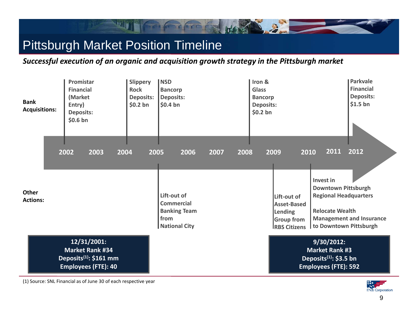## Pittsburgh Market Position Timeline

*Successful execution of an organic and acquisition growth strategy in the Pittsburgh market*

| <b>Bank</b><br><b>Acquisitions:</b> | Promistar<br><b>Financial</b><br>(Market<br>Entry)<br><b>Deposits:</b><br>\$0.6 <sub>bn</sub>             | <b>Slippery</b><br><b>Rock</b><br><b>Deposits:</b><br>$$0.2$ bn | <b>NSD</b><br><b>Bancorp</b><br><b>Deposits:</b><br>$$0.4$ bn                            |              | Iron &<br><b>Glass</b><br><b>Bancorp</b><br><b>Deposits:</b><br>$$0.2$ bn |                                                                                                           |                                                                                                                                            | Parkvale<br><b>Financial</b><br><b>Deposits:</b><br>$$1.5$ bn |
|-------------------------------------|-----------------------------------------------------------------------------------------------------------|-----------------------------------------------------------------|------------------------------------------------------------------------------------------|--------------|---------------------------------------------------------------------------|-----------------------------------------------------------------------------------------------------------|--------------------------------------------------------------------------------------------------------------------------------------------|---------------------------------------------------------------|
| Other<br><b>Actions:</b>            | 2002<br>2003<br>2004                                                                                      | 2005                                                            | 2006<br>Lift-out of<br><b>Commercial</b><br><b>Banking Team</b><br>from<br>National City | 2007<br>2008 |                                                                           | 2009<br>2010<br>Lift-out of<br><b>Asset-Based</b><br>Lending<br><b>Group from</b><br><b>IRBS Citizens</b> | 2011<br><b>Invest in</b><br><b>Downtown Pittsburgh</b><br><b>Regional Headquarters</b><br><b>Relocate Wealth</b><br>to Downtown Pittsburgh | 2012<br><b>Management and Insurance</b>                       |
|                                     | 12/31/2001:<br><b>Market Rank #34</b><br>Deposits <sup>(1)</sup> : \$161 mm<br><b>Employees (FTE): 40</b> |                                                                 |                                                                                          |              |                                                                           |                                                                                                           | $9/30/2012$ :<br><b>Market Rank #3</b><br>Deposits <sup>(1)</sup> : \$3.5 bn<br><b>Employees (FTE): 592</b>                                |                                                               |

(1) Source: SNL Financial as of June 30 of each respective year

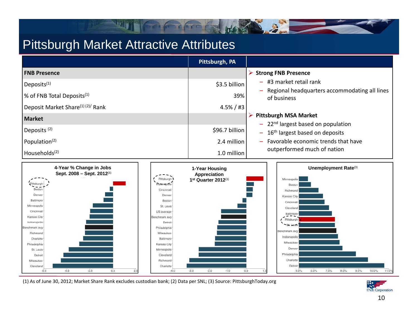### Pittsburgh Market Attractive Attributes



D. G.

(1) As of June 30, 2012; Market Share Rank excludes custodian bank; (2) Data per SNL; (3) Source: PittsburghToday.org

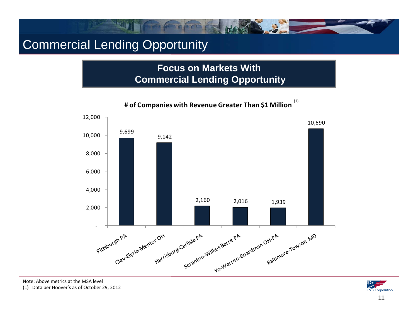## Commercial Lending Opportunity

### **Focus on Markets With Commercial Lending Opportunity**



(1) **# of Companies with Revenue Greater Than \$1 Million**

Note: Above metrics at the MSA level

(1) Data per Hoover's as of October 29, 2012

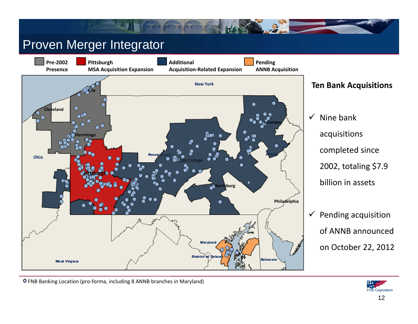### Proven Merger Integrator



- Nine bank completed since 2002, totaling \$7.9 billion in assets
- $\checkmark$  Pending acquisition of ANNB announced on October 22, 2012



FNB Banking Location (pro‐forma, including 8 ANNB branches in Maryland)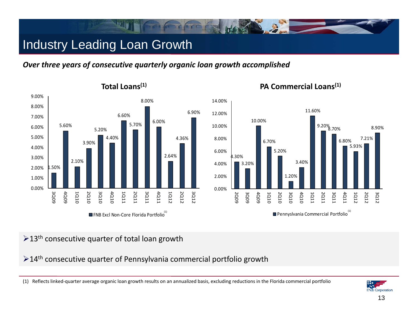## Industry Leading Loan Growth

*Over three years of consecutive quarterly organic loan growth accomplished*







### **PA Commercial Loans(1)**

### $\geq$ 13<sup>th</sup> consecutive quarter of total loan growth

 $>$ 14<sup>th</sup> consecutive quarter of Pennsylvania commercial portfolio growth



<sup>(1)</sup> Reflects linked‐quarter average organic loan growth results on an annualized basis, excluding reductions in the Florida commercial portfolio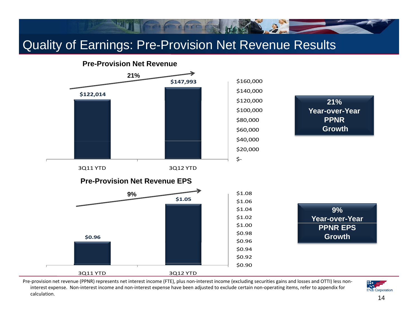### Quality of Earnings: Pre-Provision Net Revenue Results



Pre-provision net revenue (PPNR) represents net interest income (FTE), plus non-interest income (excluding securities gains and losses and OTTI) less noninterest expense. Non‐interest income and non‐interest expense have been adjusted to exclude certain non‐operating items, refer to appendix for calculation.

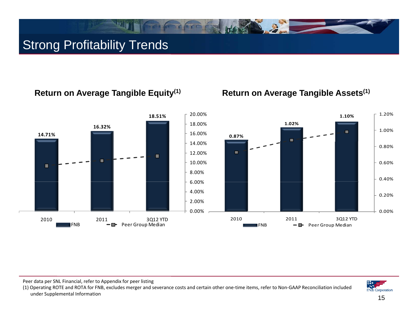## Strong Profitability Trends

### **Return on Average Tangible Equity(1) Return on Average Tangible Assets(1)**



Peer data per SNL Financial, refer to Appendix for peer listing

(1) Operating ROTE and ROTA for FNB, excludes merger and severance costs and certain other one‐time items, refer to Non‐GAAP Reconciliation included under Supplemental Information

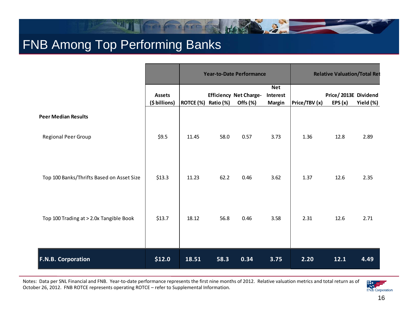## FNB Among Top Performing Banks

|                                           |                                | <b>Year-to-Date Performance</b> |      |                                                                     |                                         | <b>Relative Valuation/Total Ret</b> |                                   |           |
|-------------------------------------------|--------------------------------|---------------------------------|------|---------------------------------------------------------------------|-----------------------------------------|-------------------------------------|-----------------------------------|-----------|
|                                           | <b>Assets</b><br>(\$ billions) | ROTCE (%) Ratio (%)             |      | <b>Efficiency Net Charge-</b><br>Offs $(% \mathcal{L}(\mathcal{N})$ | <b>Net</b><br>Interest<br><b>Margin</b> | Price/TBV (x)                       | Price/2013E Dividend<br>EPS $(x)$ | Yield (%) |
| <b>Peer Median Results</b>                |                                |                                 |      |                                                                     |                                         |                                     |                                   |           |
| Regional Peer Group                       | \$9.5                          | 11.45                           | 58.0 | 0.57                                                                | 3.73                                    | 1.36                                | 12.8                              | 2.89      |
| Top 100 Banks/Thrifts Based on Asset Size | \$13.3                         | 11.23                           | 62.2 | 0.46                                                                | 3.62                                    | 1.37                                | 12.6                              | 2.35      |
| Top 100 Trading at > 2.0x Tangible Book   | \$13.7                         | 18.12                           | 56.8 | 0.46                                                                | 3.58                                    | 2.31                                | 12.6                              | 2.71      |
| <b>F.N.B. Corporation</b>                 | \$12.0                         | 18.51                           | 58.3 | 0.34                                                                | 3.75                                    | 2.20                                | 12.1                              | 4.49      |

The state of the state

Notes: Data per SNL Financial and FNB. Year‐to‐date performance represents the first nine months of 2012. Relative valuation metrics and total return as of October 26, 2012. FNB ROTCE represents operating ROTCE – refer to Supplemental Information.

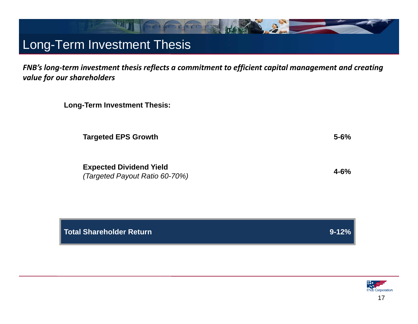### Long-Term Investment Thesis

*FNB's long‐term investment thesis reflects a commitment to efficient capital management and creating value for our shareholders*

| <b>Long-Term Investment Thesis:</b> |  |  |  |
|-------------------------------------|--|--|--|
|-------------------------------------|--|--|--|

**Targeted EPS Growth 5-6%**

**Expected Dividend Yield** *(Targeted Payout Ratio 60-70%)* **4-6%**

**Total Shareholder Return 9-12%**

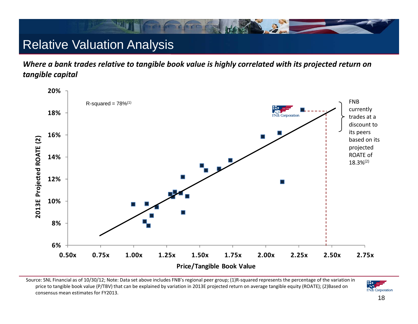## Relative Valuation Analysis

*Where a bank trades relative to tangible book value is highly correlated with its projected return on tangible capital*



Source: SNL Financial as of 10/30/12; Note: Data set above includes FNB's regional peer group; (1)R‐squared represents the percentage of the variation in price to tangible book value (P/TBV) that can be explained by variation in 2013E projected return on average tangible equity (ROATE); (2)Based on consensus mean estimates for FY2013.